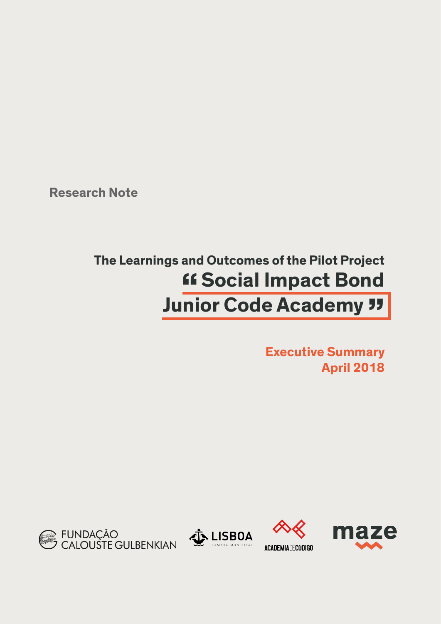**Research Note**

## **The Learnings and Outcomes of the Pilot Project "Social Impact Bond Junior Code Academy "**

**Executive Summary April 2018**







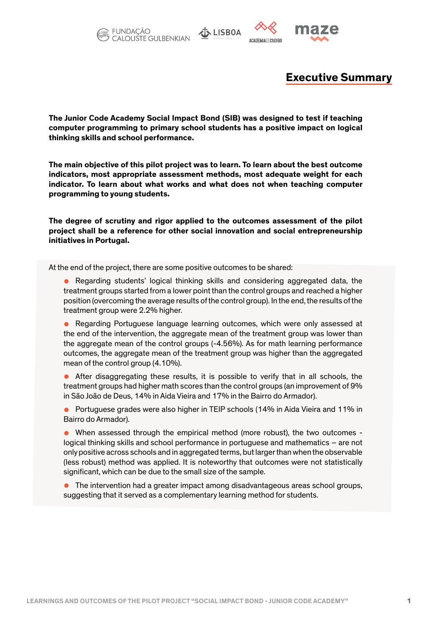



**ACADEMIADECODIGO** 



## **Executive Summary**

**The Junior Code Academy Social Impact Bond (SIB) was designed to test if teaching computer programming to primary school students has a positive impact on logical thinking skills and school performance.** 

**The main objective of this pilot project was to learn. To learn about the best outcome indicators, most appropriate assessment methods, most adequate weight for each indicator. To learn about what works and what does not when teaching computer programming to young students.**

**The degree of scrutiny and rigor applied to the outcomes assessment of the pilot project shall be a reference for other social innovation and social entrepreneurship initiatives in Portugal.**

At the end of the project, there are some positive outcomes to be shared:

- **•** Regarding students' logical thinking skills and considering aggregated data, the treatment groups started from a lower point than the control groups and reached a higher position (overcoming the average results of the control group). In the end, the results of the treatment group were 2.2% higher.
- **•** Regarding Portuguese language learning outcomes, which were only assessed at the end of the intervention, the aggregate mean of the treatment group was lower than the aggregate mean of the control groups (-4.56%). As for math learning performance outcomes, the aggregate mean of the treatment group was higher than the aggregated mean of the control group (4.10%).
- **•** After disaggregating these results, it is possible to verify that in all schools, the treatment groups had higher math scores than the control groups (an improvement of 9% in São João de Deus, 14% in Aida Vieira and 17% in the Bairro do Armador).
- **•** Portuguese grades were also higher in TEIP schools (14% in Aida Vieira and 11% in Bairro do Armador).
- **•** When assessed through the empirical method (more robust), the two outcomes logical thinking skills and school performance in portuguese and mathematics – are not only positive across schools and in aggregated terms, but larger than when the observable (less robust) method was applied. It is noteworthy that outcomes were not statistically significant, which can be due to the small size of the sample.
- **•** The intervention had a greater impact among disadvantageous areas school groups, suggesting that it served as a complementary learning method for students.